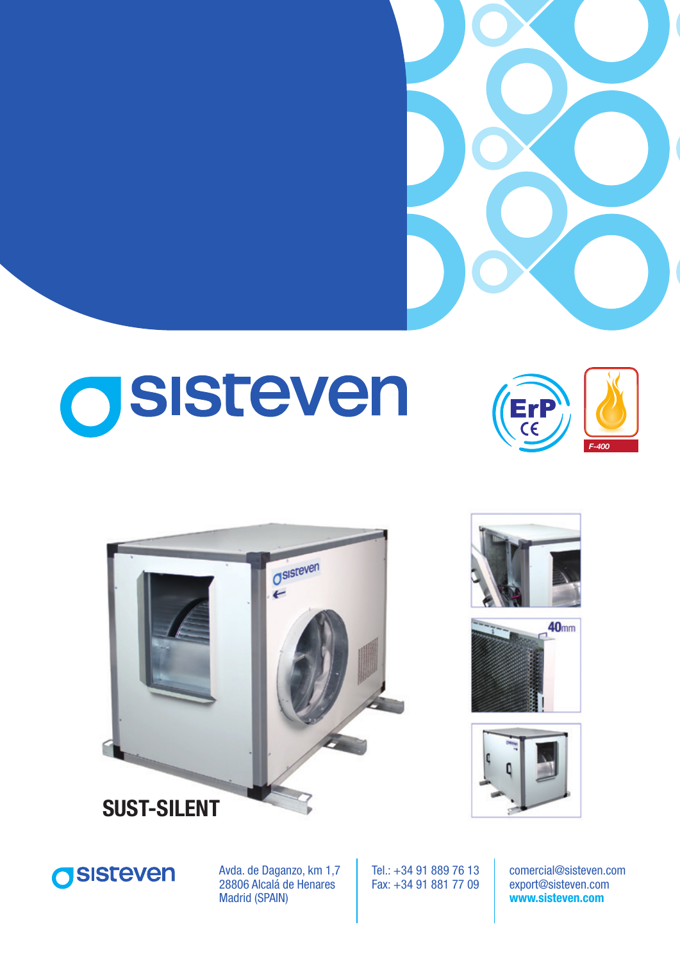

# OSISteven













Avda. de Daganzo, km 1,7 28806 Alcalá de Henares Madrid (SPAIN)

Tel.: +34 91 889 76 13 Fax: +34 91 881 77 09

comercial@sisteven.com export@sisteven.com **www.sisteven.com**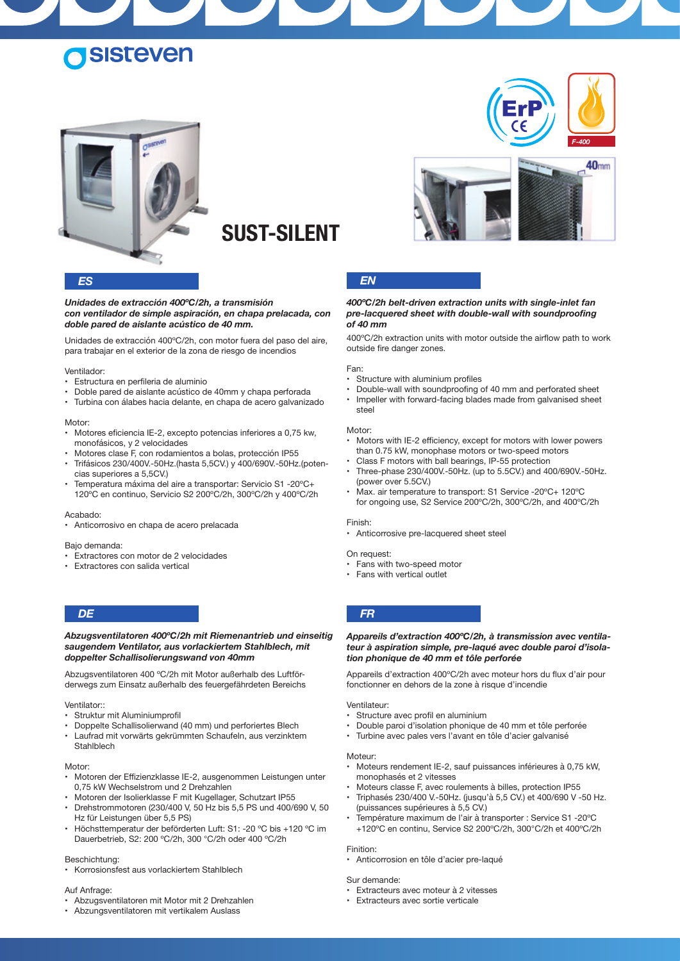## **ISISTEVEN**







#### *Unidades de extracción 400ºC/2h, a transmisión con ventilador de simple aspiración, en chapa prelacada, con doble pared de aislante acústico de 40 mm.*

Unidades de extracción 400ºC/2h, con motor fuera del paso del aire, para trabajar en el exterior de la zona de riesgo de incendios

#### Ventilador:

- • Estructura en perfileria de aluminio
- Doble pared de aislante acústico de 40mm y chapa perforada
- • Turbina con álabes hacia delante, en chapa de acero galvanizado

#### Motor:

- Motores eficiencia IE-2, excepto potencias inferiores a 0.75 kw. monofásicos, y 2 velocidades
- Motores clase F, con rodamientos a bolas, protección IP55
- Trifásicos 230/400V.-50Hz.(hasta 5,5CV.) y 400/690V.-50Hz.(potencias superiores a 5.5CV.)
- Temperatura máxima del aire a transportar: Servicio S1 -20°C+ 120ºC en continuo, Servicio S2 200ºC/2h, 300ºC/2h y 400ºC/2h

#### Acabado:

Anticorrosivo en chapa de acero prelacada

#### Bajo demanda:

- • Extractores con motor de 2 velocidades
- • Extractores con salida vertical

#### *Abzugsventilatoren 400ºC/2h mit Riemenantrieb und einseitig saugendem Ventilator, aus vorlackiertem Stahlblech, mit doppelter Schallisolierungswand von 40mm*

Abzugsventilatoren 400 ºC/2h mit Motor außerhalb des Luftförderwegs zum Einsatz außerhalb des feuergefährdeten Bereichs

#### Ventilator::

- Struktur mit Aluminiumprofil
- Doppelte Schallisolierwand (40 mm) und perforiertes Blech
- Laufrad mit vorwärts gekrümmten Schaufeln, aus verzinktem **Stahlblech**

#### Motor:

- Motoren der Effizienzklasse IE-2, ausgenommen Leistungen unter 0,75 kW Wechselstrom und 2 Drehzahlen
- Motoren der Isolierklasse F mit Kugellager, Schutzart IP55
- Drehstrommotoren (230/400 V, 50 Hz bis 5,5 PS und 400/690 V, 50 Hz für Leistungen über 5,5 PS)
- Höchsttemperatur der beförderten Luft: S1: -20 °C bis +120 °C im Dauerbetrieb, S2: 200 ºC/2h, 300 °C/2h oder 400 ºC/2h

#### Beschichtung:

Korrosionsfest aus vorlackiertem Stahlblech

#### Auf Anfrage:

- • Abzugsventilatoren mit Motor mit 2 Drehzahlen
- Abzungsventilatoren mit vertikalem Auslass





#### *ES EN*

#### *400ºC/2h belt-driven extraction units with single-inlet fan pre-lacquered sheet with double-wall with soundproofing of 40 mm*

400°C/2h extraction units with motor outside the airflow path to work outside fire danger zones.

#### Fan:

- Structure with aluminium profiles
	- Double-wall with soundproofing of 40 mm and perforated sheet
- Impeller with forward-facing blades made from galvanised sheet steel

#### Motor:

- Motors with IE-2 efficiency, except for motors with lower powers than 0.75 kW, monophase motors or two-speed motors
- Class F motors with ball bearings, IP-55 protection
- Three-phase 230/400V.-50Hz. (up to 5.5CV.) and 400/690V.-50Hz. (power over 5.5CV.)
- Max. air temperature to transport: S1 Service -20°C+ 120°C for ongoing use, S2 Service 200ºC/2h, 300ºC/2h, and 400ºC/2h

#### Finish:

• Anticorrosive pre-lacquered sheet steel

#### On request:

- Fans with two-speed motor
- Fans with vertical outlet

#### *DE FR*

*Appareils d'extraction 400ºC/2h, à transmission avec ventilateur à aspiration simple, pre-laqué avec double paroi d'isolation phonique de 40 mm et tôle perforée*

Appareils d'extraction 400°C/2h avec moteur hors du flux d'air pour fonctionner en dehors de la zone à risque d'incendie

#### Ventilateur:

- Structure avec profil en aluminium
- Double paroi d'isolation phonique de 40 mm et tôle perforée
- Turbine avec pales vers l'avant en tôle d'acier galvanisé

#### Moteur:

- Moteurs rendement IE-2, sauf puissances inférieures à 0,75 kW, monophasés et 2 vitesses
- Moteurs classe F, avec roulements à billes, protection IP55
- Triphasés 230/400 V.-50Hz. (jusqu'à 5,5 CV.) et 400/690 V -50 Hz. (puissances supérieures à 5,5 CV.)
- Température maximum de l'air à transporter : Service S1 -20°C +120ºC en continu, Service S2 200ºC/2h, 300°C/2h et 400ºC/2h

#### Finition:

- Anticorrosion en tôle d'acier pre-laqué
- Sur demande:
- Extracteurs avec moteur à 2 vitesses
- • Extracteurs avec sortie verticale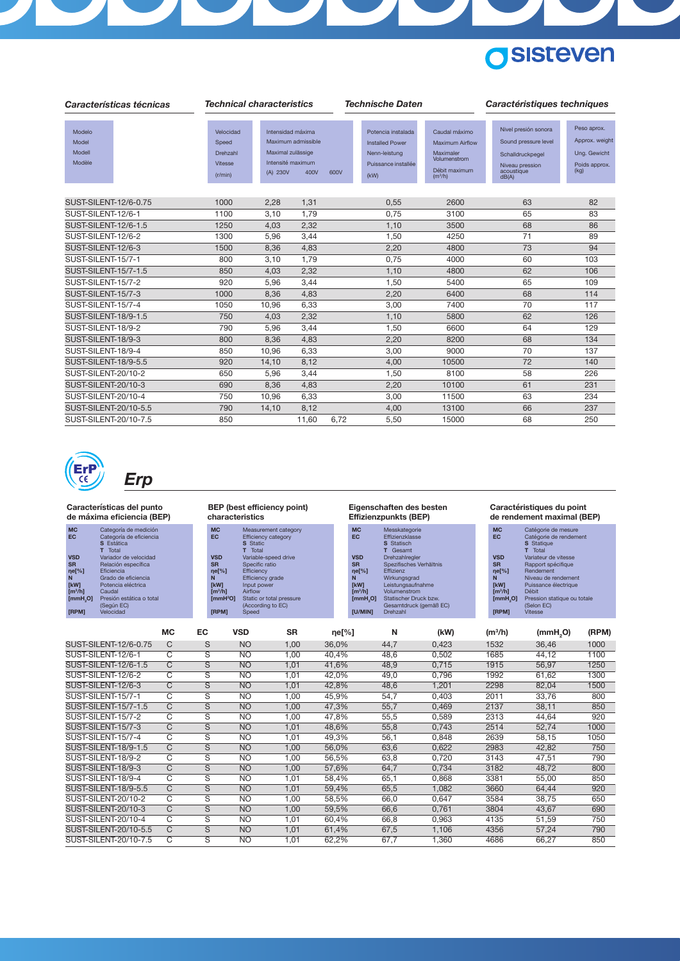

| Características técnicas            |                                                             | <b>Technical characteristics</b>                                                                      |       |      |                                                                                              |                                                                                                              | Caractéristiques techniques                                                                                |                                                                        |  |  |
|-------------------------------------|-------------------------------------------------------------|-------------------------------------------------------------------------------------------------------|-------|------|----------------------------------------------------------------------------------------------|--------------------------------------------------------------------------------------------------------------|------------------------------------------------------------------------------------------------------------|------------------------------------------------------------------------|--|--|
| Modelo<br>Model<br>Modell<br>Modèle | Velocidad<br>Speed<br>Drehzahl<br><b>Vitesse</b><br>(r/min) | Intensidad máxima<br>Maximum admissible<br>Maximal zulässige<br>Intensité maximum<br>(A) 230V<br>400V |       | 600V | Potencia instalada<br><b>Installed Power</b><br>Nenn-leistung<br>Puissance installée<br>(kW) | Caudal máximo<br><b>Maximum Airflow</b><br>Maximaler<br>Volumenstrom<br>Débit maximum<br>(m <sup>3</sup> /h) | Nivel presión sonora<br>Sound pressure level<br>Schalldruckpegel<br>Niveau pression<br>acoustique<br>dB(A) | Peso aprox.<br>Approx. weight<br>Ung. Gewicht<br>Poids approx.<br>(kg) |  |  |
| SUST-SILENT-12/6-0.75               | 1000                                                        | 2,28                                                                                                  | 1,31  |      | 0,55                                                                                         | 2600                                                                                                         | 63                                                                                                         | 82                                                                     |  |  |
| SUST-SILENT-12/6-1                  | 1100                                                        | 3,10                                                                                                  | 1,79  |      | 0,75                                                                                         | 3100                                                                                                         | 65                                                                                                         | 83                                                                     |  |  |
| <b>SUST-SILENT-12/6-1.5</b>         | 1250                                                        | 4,03                                                                                                  | 2,32  |      | 1,10                                                                                         | 3500                                                                                                         | 68                                                                                                         | 86                                                                     |  |  |
| SUST-SILENT-12/6-2                  | 1300                                                        | 5,96                                                                                                  | 3,44  |      | 1,50                                                                                         | 4250                                                                                                         | 71                                                                                                         | 89                                                                     |  |  |
| SUST-SILENT-12/6-3                  | 1500                                                        | 8,36                                                                                                  | 4,83  |      | 2,20                                                                                         | 4800                                                                                                         | 73                                                                                                         | 94                                                                     |  |  |
| SUST-SILENT-15/7-1                  | 800                                                         | 3,10                                                                                                  | 1,79  |      | 0,75                                                                                         | 4000                                                                                                         | 60                                                                                                         | 103                                                                    |  |  |
| <b>SUST-SILENT-15/7-1.5</b>         | 850                                                         | 4,03                                                                                                  | 2,32  |      | 1,10                                                                                         | 4800                                                                                                         | 62                                                                                                         | 106                                                                    |  |  |
| SUST-SILENT-15/7-2                  | 920                                                         | 5,96                                                                                                  | 3,44  |      | 1,50                                                                                         | 5400                                                                                                         | 65                                                                                                         | 109                                                                    |  |  |
| SUST-SILENT-15/7-3                  | 1000                                                        | 8.36                                                                                                  | 4,83  |      | 2,20                                                                                         | 6400                                                                                                         | 68                                                                                                         | 114                                                                    |  |  |
| SUST-SILENT-15/7-4                  | 1050                                                        | 10.96                                                                                                 | 6,33  |      | 3,00                                                                                         | 7400                                                                                                         | 70                                                                                                         | 117                                                                    |  |  |
| <b>SUST-SILENT-18/9-1.5</b>         | 750                                                         | 4,03                                                                                                  | 2,32  |      | 1,10                                                                                         | 5800                                                                                                         | 62                                                                                                         | 126                                                                    |  |  |
| SUST-SILENT-18/9-2                  | 790                                                         | 5,96                                                                                                  | 3,44  |      | 1,50                                                                                         | 6600                                                                                                         | 64                                                                                                         | 129                                                                    |  |  |
| SUST-SILENT-18/9-3                  | 800                                                         | 8,36                                                                                                  | 4,83  |      | 2,20                                                                                         | 8200                                                                                                         | 68                                                                                                         | 134                                                                    |  |  |
| SUST-SILENT-18/9-4                  | 850                                                         | 10,96                                                                                                 | 6,33  |      | 3,00                                                                                         | 9000                                                                                                         | 70                                                                                                         | 137                                                                    |  |  |
| <b>SUST-SILENT-18/9-5.5</b>         | 920                                                         | 14,10                                                                                                 | 8,12  |      | 4,00                                                                                         | 10500                                                                                                        | 72                                                                                                         | 140                                                                    |  |  |
| SUST-SILENT-20/10-2                 | 650                                                         | 5,96                                                                                                  | 3,44  |      | 1,50                                                                                         | 8100                                                                                                         | 58                                                                                                         | 226                                                                    |  |  |
| SUST-SILENT-20/10-3                 | 690                                                         | 8,36                                                                                                  | 4,83  |      | 2,20                                                                                         | 10100                                                                                                        | 61                                                                                                         | 231                                                                    |  |  |
| SUST-SILENT-20/10-4                 | 750                                                         | 10,96                                                                                                 | 6,33  |      | 3,00                                                                                         | 11500                                                                                                        | 63                                                                                                         | 234                                                                    |  |  |
| SUST-SILENT-20/10-5.5               | 790                                                         | 14,10                                                                                                 | 8,12  |      | 4,00                                                                                         | 13100                                                                                                        | 66                                                                                                         | 237                                                                    |  |  |
| SUST-SILENT-20/10-7.5               | 850                                                         |                                                                                                       | 11,60 | 6,72 | 5,50                                                                                         | 15000                                                                                                        | 68                                                                                                         | 250                                                                    |  |  |
|                                     |                                                             |                                                                                                       |       |      |                                                                                              |                                                                                                              |                                                                                                            |                                                                        |  |  |



# *Erp*

#### **Características del punto de máxima eficiencia (BEP)**

| <b>MC</b>               | Categoría de medición    |
|-------------------------|--------------------------|
| EC                      | Categoría de eficiencia  |
|                         | <b>S</b> Estática        |
|                         | T Total                  |
| <b>VSD</b>              | Variador de velocidad    |
| <b>SR</b>               | Relación específica      |
| ne <sup>[%]</sup>       | <b>Eficiencia</b>        |
| N                       | Grado de eficiencia      |
| <b>TkWI</b>             | Potencia eléctrica       |
| $\text{Im}^3/\text{hl}$ | Caudal                   |
| [mmH, O]                | Presión estática o total |
|                         | (Según EC)               |
| IRPM                    | Velocidad                |

**BEP (best efficiency point) characteristics**

| <b>MC</b>                          | Measurement category     |
|------------------------------------|--------------------------|
| <b>EC</b>                          | Efficiency category      |
|                                    | <b>S</b> Static          |
|                                    | T Total                  |
| <b>VSD</b>                         | Variable-speed drive     |
| <b>SR</b>                          | Specific ratio           |
| ne <sup>[%]</sup>                  | Efficiency               |
| N                                  | <b>Efficiency grade</b>  |
| <b>TkW1</b>                        | Input power              |
| $\left[\text{m}^3/\text{h}\right]$ | Airflow                  |
| ImmH <sup>2</sup> O1               | Static or total pressure |
|                                    | (According to EC)        |
|                                    | Speed                    |

#### **Eigenschaften des besten Effizienzpunkts (BEP)**

| <b>MC</b><br>EC                    | Messkategorie<br><b>Fffizienzklasse</b> |
|------------------------------------|-----------------------------------------|
|                                    | <b>S</b> Statisch                       |
|                                    | <b>T</b> Gesamt                         |
| <b>VSD</b>                         | Drehzahlregler                          |
| <b>SR</b>                          | Spezifisches Verhältnis                 |
| ne <sup>[%]</sup>                  | <b>Fffizienz</b>                        |
| N                                  | Wirkungsgrad                            |
| <b>TkW1</b>                        | Leistungsaufnahme                       |
| $\left[\text{m}^3/\text{h}\right]$ | Volumenstrom                            |
| [mmH, O]                           | Statischer Druck bzw.                   |
|                                    | Gesamtdruck (gemäß EC)                  |
| <b>IU/MIN1</b>                     | Drehzahl                                |

#### **Caractéristiques du point de rendement maximal (BEP)**

| Catégorie de mesure<br>Catégorie de rendement<br><b>S</b> Statique<br>T Total |
|-------------------------------------------------------------------------------|
| Variateur de vitesse                                                          |
| Rapport spécifique                                                            |
| Rendement                                                                     |
| Niveau de rendement                                                           |
| Puissance électrique                                                          |
| Débit                                                                         |
| Pression statique ou totale                                                   |
| (Selon EC)                                                                    |
| <b>Vitesse</b>                                                                |
|                                                                               |

|                             | <b>MC</b> | EC | <b>VSD</b>     | <b>SR</b> | $ne[\%]$ | N    | (kW)  | $(m^3/h)$ | (mmH, O) | (RPM) |
|-----------------------------|-----------|----|----------------|-----------|----------|------|-------|-----------|----------|-------|
| SUST-SILENT-12/6-0.75       | C         | S  | <b>NO</b>      | 1.00      | 36,0%    | 44,7 | 0.423 | 1532      | 36,46    | 1000  |
| SUST-SILENT-12/6-1          | C         | S  | <b>NO</b>      | 1,00      | 40,4%    | 48,6 | 0,502 | 1685      | 44,12    | 1100  |
| <b>SUST-SILENT-12/6-1.5</b> | C         | S  | <b>NO</b>      | 1.01      | 41.6%    | 48,9 | 0.715 | 1915      | 56,97    | 1250  |
| SUST-SILENT-12/6-2          | C         | S  | <b>NO</b>      | 1,01      | 42.0%    | 49,0 | 0.796 | 1992      | 61,62    | 1300  |
| SUST-SILENT-12/6-3          | C         | S  | <b>NO</b>      | 1.01      | 42,8%    | 48,6 | 1,201 | 2298      | 82,04    | 1500  |
| SUST-SILENT-15/7-1          | C         | S  | N <sub>O</sub> | 1.00      | 45.9%    | 54,7 | 0.403 | 2011      | 33,76    | 800   |
| SUST-SILENT-15/7-1.5        | C         | S  | <b>NO</b>      | 1.00      | 47.3%    | 55,7 | 0.469 | 2137      | 38,11    | 850   |
| SUST-SILENT-15/7-2          | C         | S  | N <sub>O</sub> | 1.00      | 47.8%    | 55,5 | 0.589 | 2313      | 44.64    | 920   |
| SUST-SILENT-15/7-3          | C         | S  | <b>NO</b>      | 1,01      | 48.6%    | 55,8 | 0.743 | 2514      | 52,74    | 1000  |
| SUST-SILENT-15/7-4          | C         | S  | <b>NO</b>      | 1,01      | 49,3%    | 56,1 | 0.848 | 2639      | 58,15    | 1050  |
| SUST-SILENT-18/9-1.5        | C         | S  | <b>NO</b>      | 1.00      | 56.0%    | 63.6 | 0.622 | 2983      | 42,82    | 750   |
| SUST-SILENT-18/9-2          | C         | S  | <b>NO</b>      | 1.00      | 56.5%    | 63,8 | 0.720 | 3143      | 47,51    | 790   |
| SUST-SILENT-18/9-3          | C         | S  | <b>NO</b>      | 1.00      | 57.6%    | 64,7 | 0.734 | 3182      | 48,72    | 800   |
| SUST-SILENT-18/9-4          | C         | S  | <b>NO</b>      | 1,01      | 58.4%    | 65,1 | 0.868 | 3381      | 55,00    | 850   |
| SUST-SILENT-18/9-5.5        | C         | S  | <b>NO</b>      | 1,01      | 59,4%    | 65,5 | 1,082 | 3660      | 64,44    | 920   |
| SUST-SILENT-20/10-2         | C         | S  | N <sub>O</sub> | 1.00      | 58.5%    | 66,0 | 0.647 | 3584      | 38,75    | 650   |
| SUST-SILENT-20/10-3         | C         | S  | <b>NO</b>      | 1,00      | 59.5%    | 66,6 | 0.761 | 3804      | 43,67    | 690   |
| SUST-SILENT-20/10-4         | C.        | S  | N <sub>O</sub> | 1,01      | 60,4%    | 66,8 | 0.963 | 4135      | 51,59    | 750   |
| SUST-SILENT-20/10-5.5       | C         | S  | <b>NO</b>      | 1,01      | 61,4%    | 67,5 | 1.106 | 4356      | 57,24    | 790   |
| SUST-SILENT-20/10-7.5       | C         | S  | <b>NO</b>      | 1.01      | 62.2%    | 67.7 | 1.360 | 4686      | 66,27    | 850   |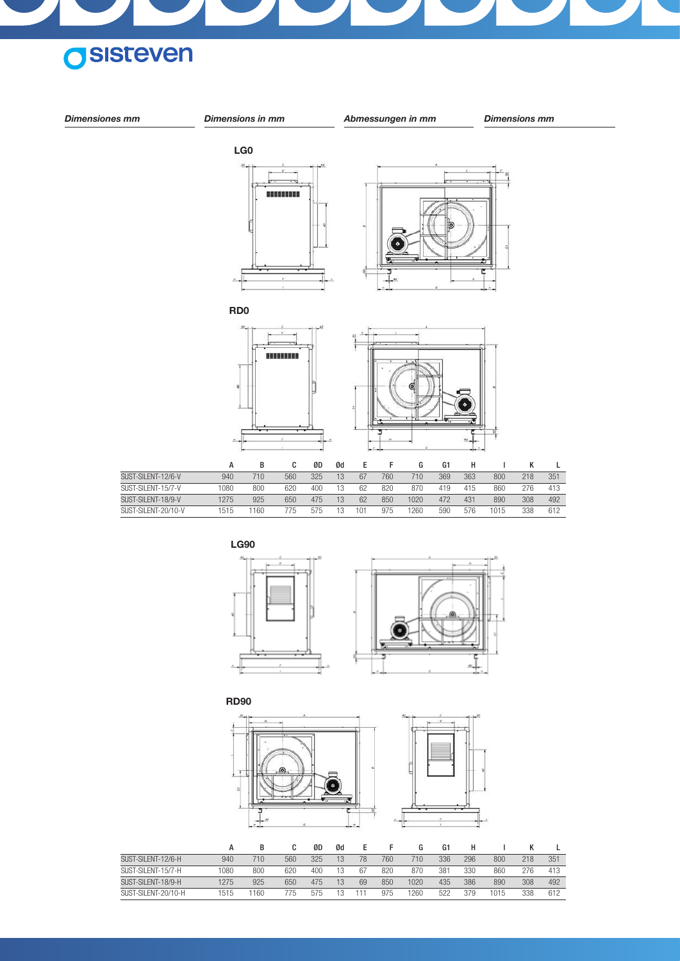







|                     |      |     |      | ØD  | Ød |    |     | G    | G1  |     |     |     |     |
|---------------------|------|-----|------|-----|----|----|-----|------|-----|-----|-----|-----|-----|
| SUST-SILFNT-12/6-H  | 940  | 710 | 560  | 325 | 13 | 78 | 760 | 710  | 336 | 296 | 800 | 218 | 351 |
| SUST-SILFNT-15/7-H  | 1080 | 800 | 620  | 400 |    | 67 | 820 | 870  | 381 | 330 | 860 | 276 | 413 |
| SUST-SILFNT-18/9-H  | 1275 | 925 | 650  | 475 |    | 69 | 850 | 1020 | 435 | 386 | 890 | 308 | 492 |
| SUST-SILFNT-20/10-H | 1515 | 160 | 775. | 5/5 |    |    | 975 | 1260 | 522 | 379 | 015 | 338 | 612 |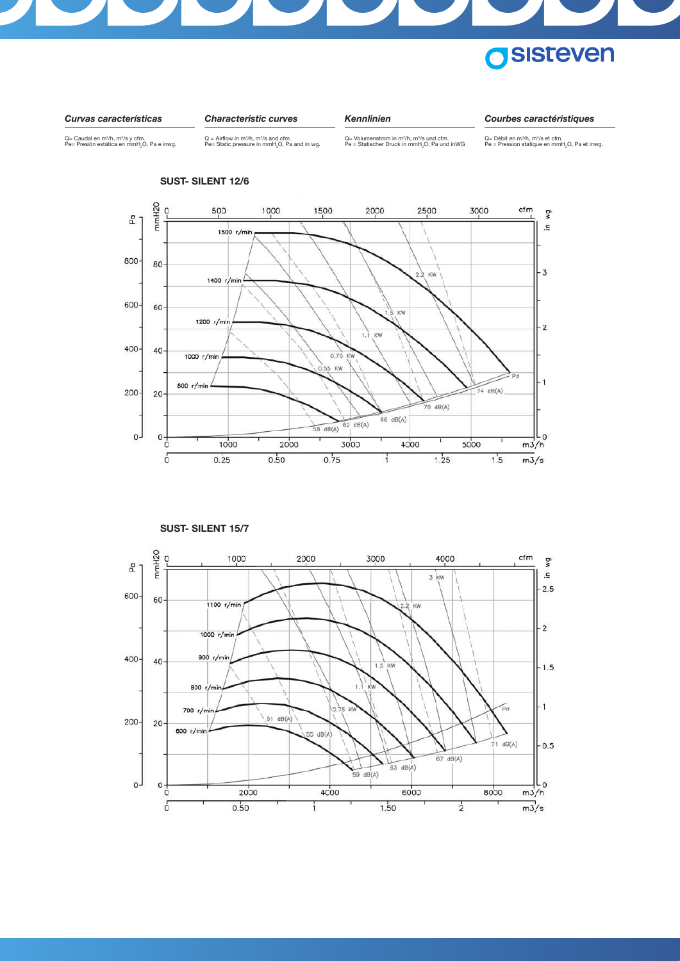





#### **SUST- SILENT 12/6**



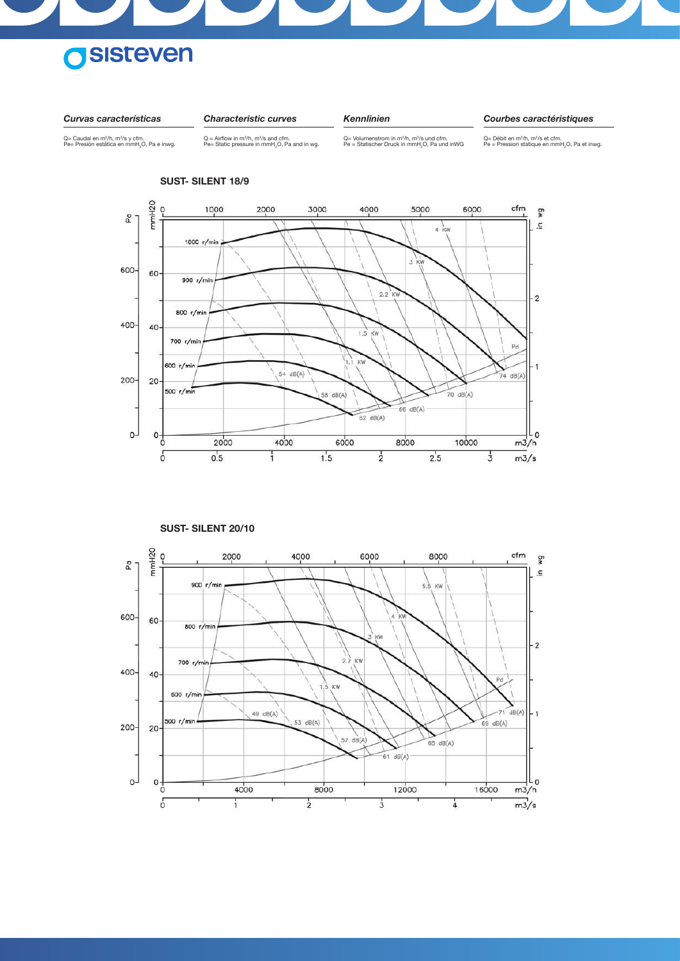

*Curvas características*

*Characteristic curves*

*Kennlinien*

*Courbes caractéristiques*

Q= Caudal en m¾h, m¾s y cfm.<br>Pe= Presión estática en mmH<sub>2</sub>O, Pa e inwg.

Q = Airflow in m $3/h$ , m $3/$ s and cfm.<br>Pe= Static pressure in mmH $_{2}$ O, Pa and in wg.

 $Q=$  Volumenstrom in m<sup>3</sup>/h, m<sup>3</sup>/s und cfm.<br>Pe = Statischer Druck in mmH<sub>2</sub>O, Pa und inWG

Q= Débit en m<sup>3</sup>/h, m<sup>3</sup>/s et cfm.<br>Pe = Pression statique en mmH<sub>2</sub>O, Pa et inwg.



**SUST- SILENT 18/9**